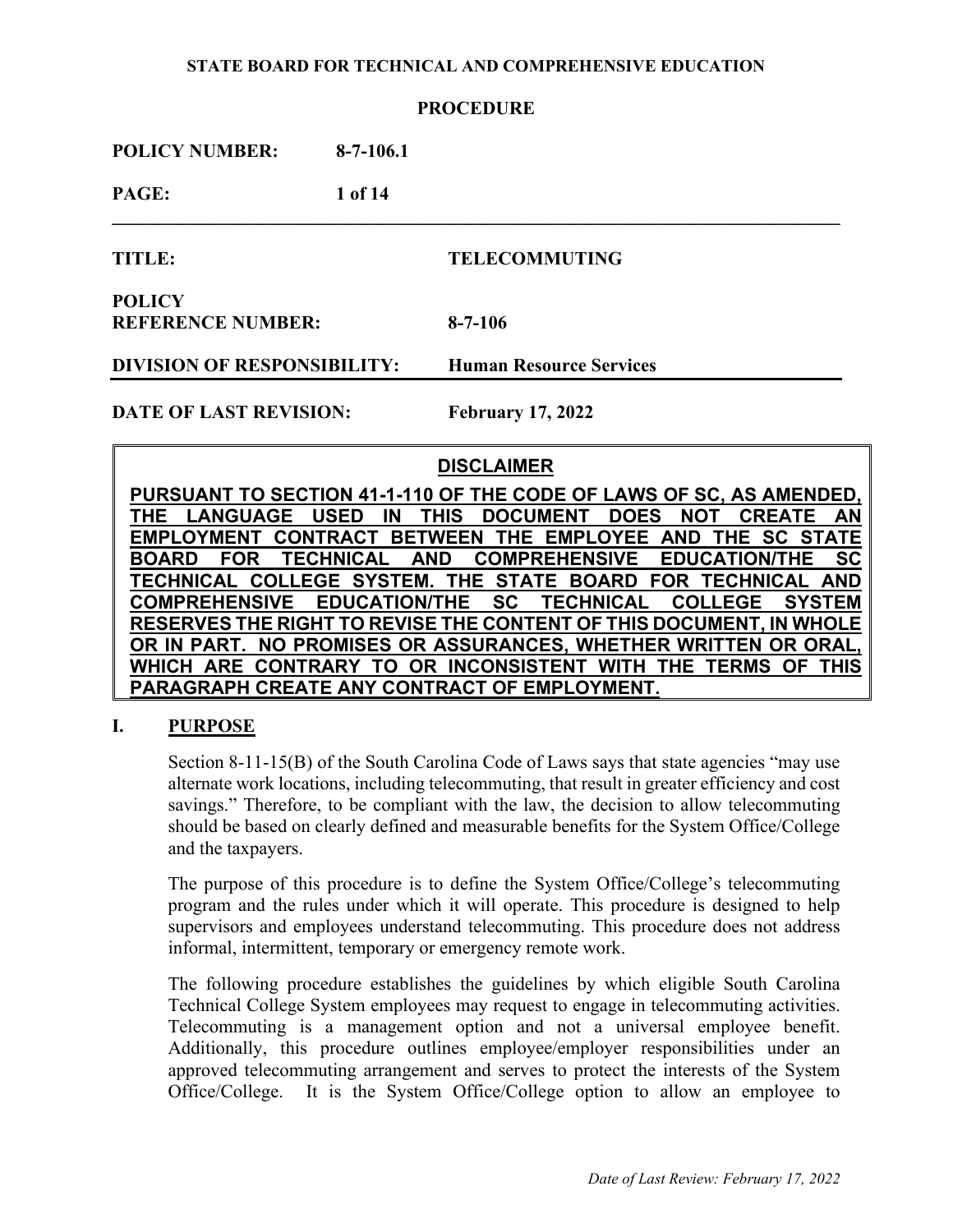### **PROCEDURE**

| <b>POLICY NUMBER:</b>                     | $8-7-106.1$ |                                |
|-------------------------------------------|-------------|--------------------------------|
| PAGE:                                     | 1 of 14     |                                |
| <b>TITLE:</b>                             |             | <b>TELECOMMUTING</b>           |
| <b>POLICY</b><br><b>REFERENCE NUMBER:</b> |             | $8 - 7 - 106$                  |
| <b>DIVISION OF RESPONSIBILITY:</b>        |             | <b>Human Resource Services</b> |
| <b>DATE OF LAST REVISION:</b>             |             | <b>February 17, 2022</b>       |
|                                           |             | <b>DISCLAIMER</b>              |

**PURSUANT TO SECTION 41-1-110 OF THE CODE OF LAWS OF SC, AS AMENDED, THE LANGUAGE USED IN THIS DOCUMENT DOES NOT CREATE AN EMPLOYMENT CONTRACT BETWEEN THE EMPLOYEE AND THE SC STATE BOARD FOR TECHNICAL AND COMPREHENSIVE EDUCATION/THE SC TECHNICAL COLLEGE SYSTEM. THE STATE BOARD FOR TECHNICAL AND COMPREHENSIVE EDUCATION/THE SC TECHNICAL COLLEGE SYSTEM RESERVES THE RIGHT TO REVISE THE CONTENT OF THIS DOCUMENT, IN WHOLE OR IN PART. NO PROMISES OR ASSURANCES, WHETHER WRITTEN OR ORAL, WHICH ARE CONTRARY TO OR INCONSISTENT WITH THE TERMS OF THIS PARAGRAPH CREATE ANY CONTRACT OF EMPLOYMENT.**

## **I. PURPOSE**

Section 8-11-15(B) of the South Carolina Code of Laws says that state agencies "may use alternate work locations, including telecommuting, that result in greater efficiency and cost savings." Therefore, to be compliant with the law, the decision to allow telecommuting should be based on clearly defined and measurable benefits for the System Office/College and the taxpayers.

The purpose of this procedure is to define the System Office/College's telecommuting program and the rules under which it will operate. This procedure is designed to help supervisors and employees understand telecommuting. This procedure does not address informal, intermittent, temporary or emergency remote work.

The following procedure establishes the guidelines by which eligible South Carolina Technical College System employees may request to engage in telecommuting activities. Telecommuting is a management option and not a universal employee benefit. Additionally, this procedure outlines employee/employer responsibilities under an approved telecommuting arrangement and serves to protect the interests of the System Office/College. It is the System Office/College option to allow an employee to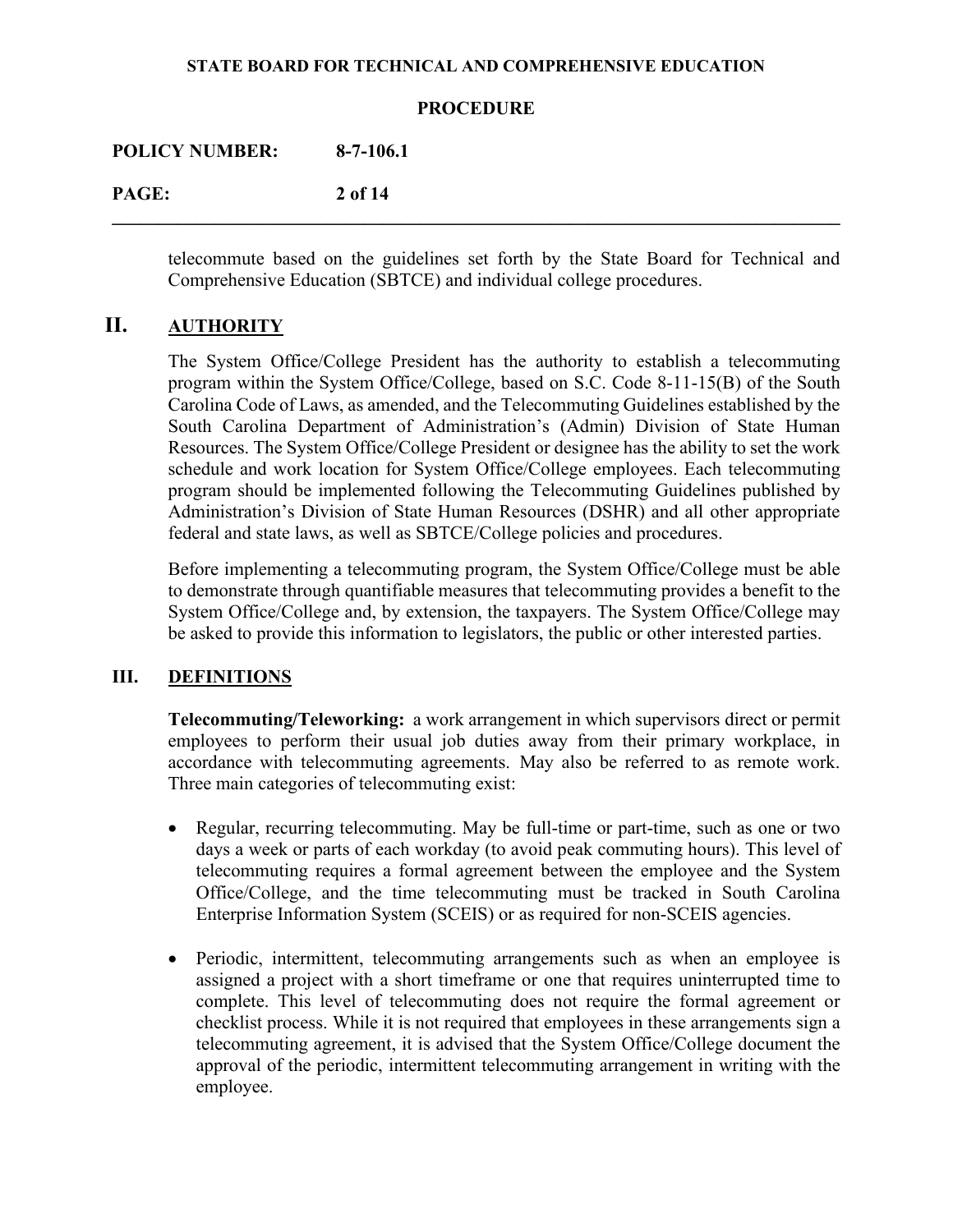### **PROCEDURE**

**\_\_\_\_\_\_\_\_\_\_\_\_\_\_\_\_\_\_\_\_\_\_\_\_\_\_\_\_\_\_\_\_\_\_\_\_\_\_\_\_\_\_\_\_\_\_\_\_\_\_\_\_\_\_\_\_\_\_\_\_\_\_\_\_\_\_\_\_\_\_\_\_\_\_\_\_\_\_** 

**POLICY NUMBER: 8-7-106.1** 

**PAGE: 2 of 14** 

telecommute based on the guidelines set forth by the State Board for Technical and Comprehensive Education (SBTCE) and individual college procedures.

# **II. AUTHORITY**

The System Office/College President has the authority to establish a telecommuting program within the System Office/College, based on S.C. Code 8-11-15(B) of the South Carolina Code of Laws, as amended, and the Telecommuting Guidelines established by the South Carolina Department of Administration's (Admin) Division of State Human Resources. The System Office/College President or designee has the ability to set the work schedule and work location for System Office/College employees. Each telecommuting program should be implemented following the Telecommuting Guidelines published by Administration's Division of State Human Resources (DSHR) and all other appropriate federal and state laws, as well as SBTCE/College policies and procedures.

Before implementing a telecommuting program, the System Office/College must be able to demonstrate through quantifiable measures that telecommuting provides a benefit to the System Office/College and, by extension, the taxpayers. The System Office/College may be asked to provide this information to legislators, the public or other interested parties.

## **III. DEFINITIONS**

**Telecommuting/Teleworking:** a work arrangement in which supervisors direct or permit employees to perform their usual job duties away from their primary workplace, in accordance with telecommuting agreements. May also be referred to as remote work. Three main categories of telecommuting exist:

- Regular, recurring telecommuting. May be full-time or part-time, such as one or two days a week or parts of each workday (to avoid peak commuting hours). This level of telecommuting requires a formal agreement between the employee and the System Office/College, and the time telecommuting must be tracked in South Carolina Enterprise Information System (SCEIS) or as required for non-SCEIS agencies.
- Periodic, intermittent, telecommuting arrangements such as when an employee is assigned a project with a short timeframe or one that requires uninterrupted time to complete. This level of telecommuting does not require the formal agreement or checklist process. While it is not required that employees in these arrangements sign a telecommuting agreement, it is advised that the System Office/College document the approval of the periodic, intermittent telecommuting arrangement in writing with the employee.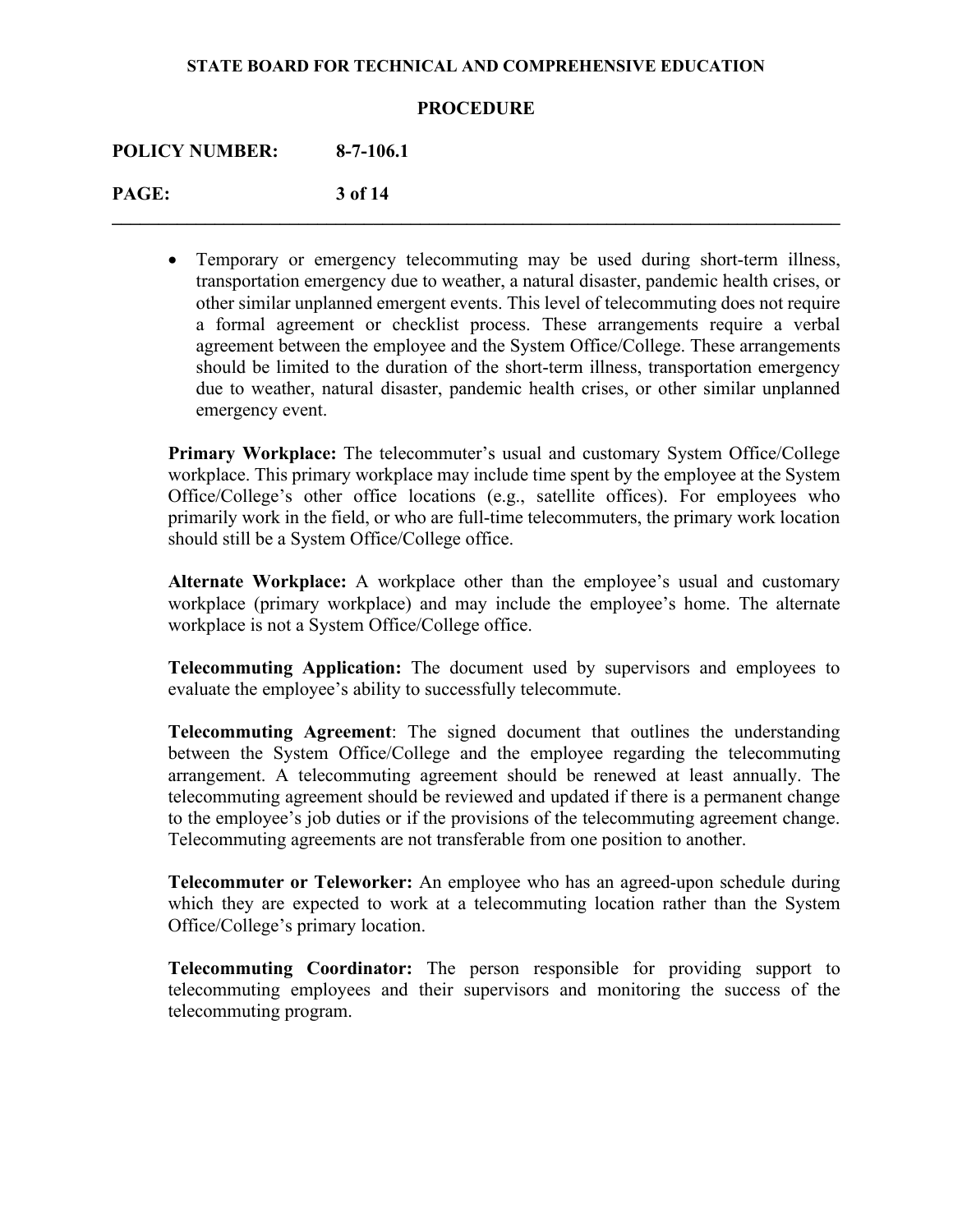## **PROCEDURE**

**\_\_\_\_\_\_\_\_\_\_\_\_\_\_\_\_\_\_\_\_\_\_\_\_\_\_\_\_\_\_\_\_\_\_\_\_\_\_\_\_\_\_\_\_\_\_\_\_\_\_\_\_\_\_\_\_\_\_\_\_\_\_\_\_\_\_\_\_\_\_\_\_\_\_\_\_\_\_**

**POLICY NUMBER: 8-7-106.1**

**PAGE: 3 of 14**

• Temporary or emergency telecommuting may be used during short-term illness, transportation emergency due to weather, a natural disaster, pandemic health crises, or other similar unplanned emergent events. This level of telecommuting does not require a formal agreement or checklist process. These arrangements require a verbal agreement between the employee and the System Office/College. These arrangements should be limited to the duration of the short-term illness, transportation emergency due to weather, natural disaster, pandemic health crises, or other similar unplanned emergency event.

**Primary Workplace:** The telecommuter's usual and customary System Office/College workplace. This primary workplace may include time spent by the employee at the System Office/College's other office locations (e.g., satellite offices). For employees who primarily work in the field, or who are full-time telecommuters, the primary work location should still be a System Office/College office.

**Alternate Workplace:** A workplace other than the employee's usual and customary workplace (primary workplace) and may include the employee's home. The alternate workplace is not a System Office/College office.

**Telecommuting Application:** The document used by supervisors and employees to evaluate the employee's ability to successfully telecommute.

**Telecommuting Agreement**: The signed document that outlines the understanding between the System Office/College and the employee regarding the telecommuting arrangement. A telecommuting agreement should be renewed at least annually. The telecommuting agreement should be reviewed and updated if there is a permanent change to the employee's job duties or if the provisions of the telecommuting agreement change. Telecommuting agreements are not transferable from one position to another.

**Telecommuter or Teleworker:** An employee who has an agreed-upon schedule during which they are expected to work at a telecommuting location rather than the System Office/College's primary location.

**Telecommuting Coordinator:** The person responsible for providing support to telecommuting employees and their supervisors and monitoring the success of the telecommuting program.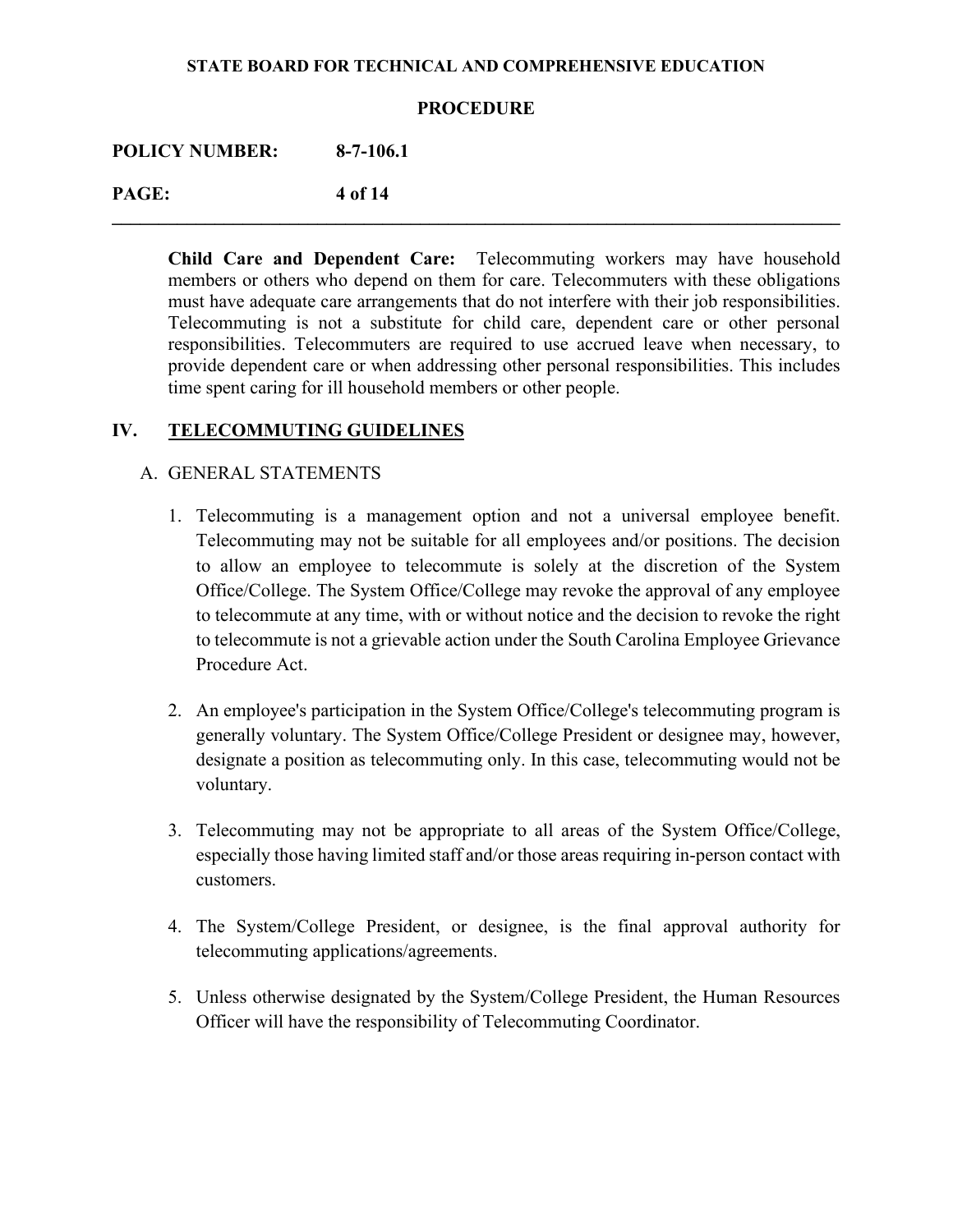## **PROCEDURE**

**\_\_\_\_\_\_\_\_\_\_\_\_\_\_\_\_\_\_\_\_\_\_\_\_\_\_\_\_\_\_\_\_\_\_\_\_\_\_\_\_\_\_\_\_\_\_\_\_\_\_\_\_\_\_\_\_\_\_\_\_\_\_\_\_\_\_\_\_\_\_\_\_\_\_\_\_\_\_** 

**POLICY NUMBER: 8-7-106.1** 

**PAGE: 4 of 14** 

**Child Care and Dependent Care:** Telecommuting workers may have household members or others who depend on them for care. Telecommuters with these obligations must have adequate care arrangements that do not interfere with their job responsibilities. Telecommuting is not a substitute for child care, dependent care or other personal responsibilities. Telecommuters are required to use accrued leave when necessary, to provide dependent care or when addressing other personal responsibilities. This includes time spent caring for ill household members or other people.

# **IV. TELECOMMUTING GUIDELINES**

## A. GENERAL STATEMENTS

- 1. Telecommuting is a management option and not a universal employee benefit. Telecommuting may not be suitable for all employees and/or positions. The decision to allow an employee to telecommute is solely at the discretion of the System Office/College. The System Office/College may revoke the approval of any employee to telecommute at any time, with or without notice and the decision to revoke the right to telecommute is not a grievable action under the South Carolina Employee Grievance Procedure Act.
- 2. An employee's participation in the System Office/College's telecommuting program is generally voluntary. The System Office/College President or designee may, however, designate a position as telecommuting only. In this case, telecommuting would not be voluntary.
- 3. Telecommuting may not be appropriate to all areas of the System Office/College, especially those having limited staff and/or those areas requiring in-person contact with customers.
- 4. The System/College President, or designee, is the final approval authority for telecommuting applications/agreements.
- 5. Unless otherwise designated by the System/College President, the Human Resources Officer will have the responsibility of Telecommuting Coordinator.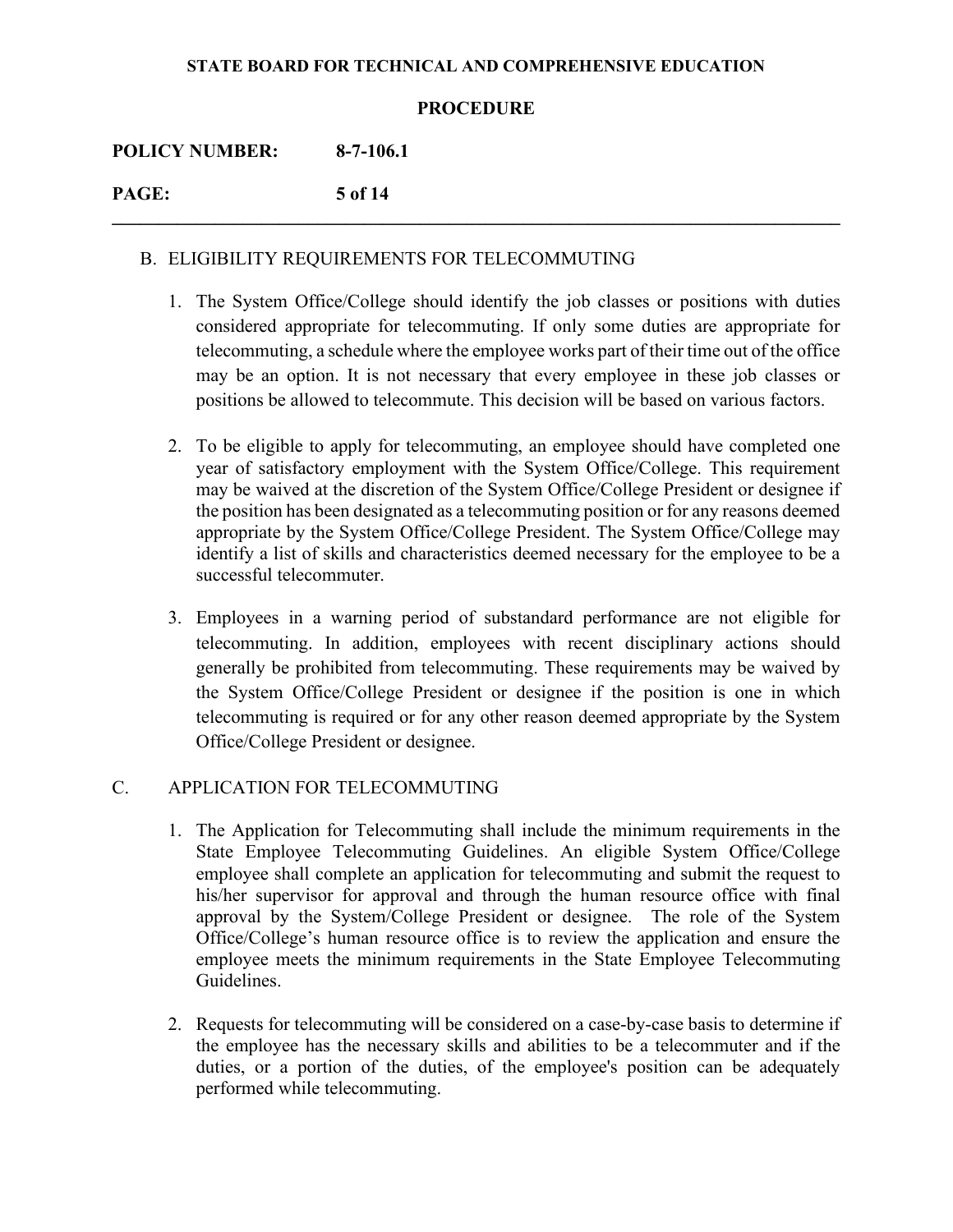## **PROCEDURE**

**\_\_\_\_\_\_\_\_\_\_\_\_\_\_\_\_\_\_\_\_\_\_\_\_\_\_\_\_\_\_\_\_\_\_\_\_\_\_\_\_\_\_\_\_\_\_\_\_\_\_\_\_\_\_\_\_\_\_\_\_\_\_\_\_\_\_\_\_\_\_\_\_\_\_\_\_\_\_**

| <b>POLICY NUMBER:</b> | $8-7-106.1$ |
|-----------------------|-------------|
| PAGE:                 | 5 of 14     |

## B. ELIGIBILITY REQUIREMENTS FOR TELECOMMUTING

- 1. The System Office/College should identify the job classes or positions with duties considered appropriate for telecommuting. If only some duties are appropriate for telecommuting, a schedule where the employee works part of their time out of the office may be an option. It is not necessary that every employee in these job classes or positions be allowed to telecommute. This decision will be based on various factors.
- 2. To be eligible to apply for telecommuting, an employee should have completed one year of satisfactory employment with the System Office/College. This requirement may be waived at the discretion of the System Office/College President or designee if the position has been designated as a telecommuting position or for any reasons deemed appropriate by the System Office/College President. The System Office/College may identify a list of skills and characteristics deemed necessary for the employee to be a successful telecommuter.
- 3. Employees in a warning period of substandard performance are not eligible for telecommuting. In addition, employees with recent disciplinary actions should generally be prohibited from telecommuting. These requirements may be waived by the System Office/College President or designee if the position is one in which telecommuting is required or for any other reason deemed appropriate by the System Office/College President or designee.

## C. APPLICATION FOR TELECOMMUTING

- 1. The Application for Telecommuting shall include the minimum requirements in the State Employee Telecommuting Guidelines. An eligible System Office/College employee shall complete an application for telecommuting and submit the request to his/her supervisor for approval and through the human resource office with final approval by the System/College President or designee. The role of the System Office/College's human resource office is to review the application and ensure the employee meets the minimum requirements in the State Employee Telecommuting Guidelines.
- 2. Requests for telecommuting will be considered on a case-by-case basis to determine if the employee has the necessary skills and abilities to be a telecommuter and if the duties, or a portion of the duties, of the employee's position can be adequately performed while telecommuting.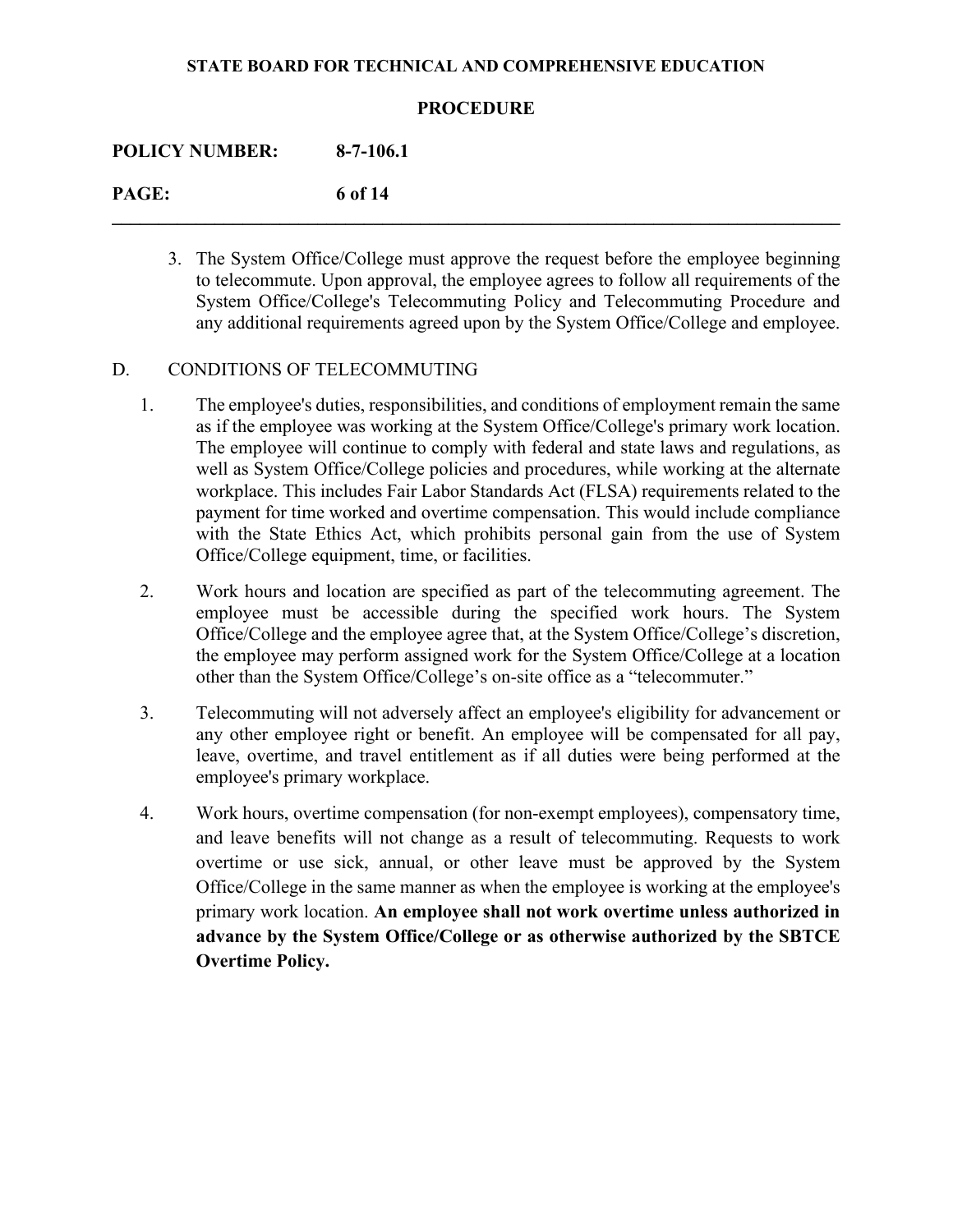## **PROCEDURE**

**\_\_\_\_\_\_\_\_\_\_\_\_\_\_\_\_\_\_\_\_\_\_\_\_\_\_\_\_\_\_\_\_\_\_\_\_\_\_\_\_\_\_\_\_\_\_\_\_\_\_\_\_\_\_\_\_\_\_\_\_\_\_\_\_\_\_\_\_\_\_\_\_\_\_\_\_\_\_**

## **POLICY NUMBER: 8-7-106.1**

**PAGE: 6 of 14**

3. The System Office/College must approve the request before the employee beginning to telecommute. Upon approval, the employee agrees to follow all requirements of the System Office/College's Telecommuting Policy and Telecommuting Procedure and any additional requirements agreed upon by the System Office/College and employee.

## D. CONDITIONS OF TELECOMMUTING

- 1. The employee's duties, responsibilities, and conditions of employment remain the same as if the employee was working at the System Office/College's primary work location. The employee will continue to comply with federal and state laws and regulations, as well as System Office/College policies and procedures, while working at the alternate workplace. This includes Fair Labor Standards Act (FLSA) requirements related to the payment for time worked and overtime compensation. This would include compliance with the State Ethics Act, which prohibits personal gain from the use of System Office/College equipment, time, or facilities.
- 2. Work hours and location are specified as part of the telecommuting agreement. The employee must be accessible during the specified work hours. The System Office/College and the employee agree that, at the System Office/College's discretion, the employee may perform assigned work for the System Office/College at a location other than the System Office/College's on-site office as a "telecommuter."
- 3. Telecommuting will not adversely affect an employee's eligibility for advancement or any other employee right or benefit. An employee will be compensated for all pay, leave, overtime, and travel entitlement as if all duties were being performed at the employee's primary workplace.
- 4. Work hours, overtime compensation (for non-exempt employees), compensatory time, and leave benefits will not change as a result of telecommuting. Requests to work overtime or use sick, annual, or other leave must be approved by the System Office/College in the same manner as when the employee is working at the employee's primary work location. **An employee shall not work overtime unless authorized in advance by the System Office/College or as otherwise authorized by the SBTCE Overtime Policy.**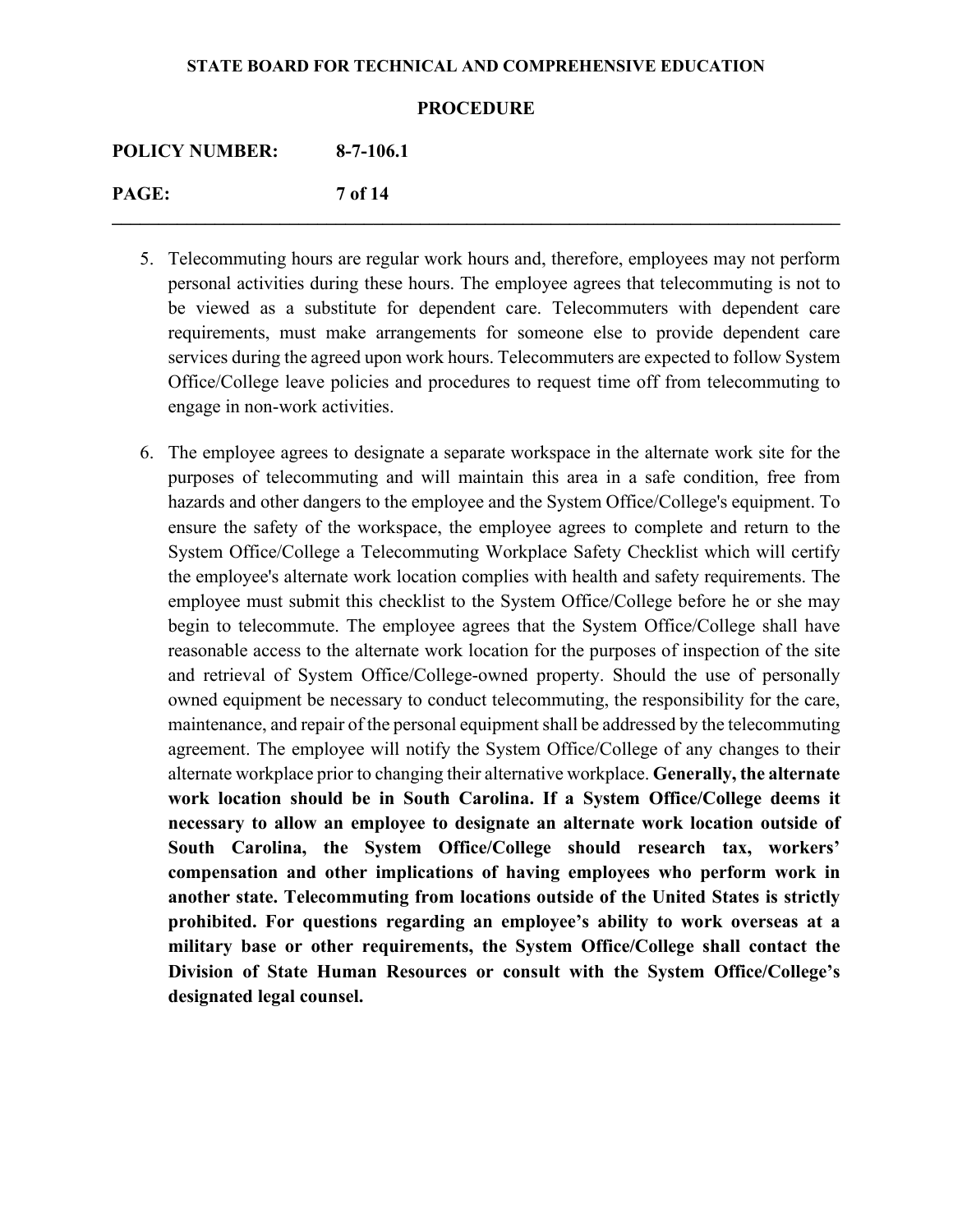#### **PROCEDURE**

**\_\_\_\_\_\_\_\_\_\_\_\_\_\_\_\_\_\_\_\_\_\_\_\_\_\_\_\_\_\_\_\_\_\_\_\_\_\_\_\_\_\_\_\_\_\_\_\_\_\_\_\_\_\_\_\_\_\_\_\_\_\_\_\_\_\_\_\_\_\_\_\_\_\_\_\_\_\_**

| <b>POLICY NUMBER:</b> | $8-7-106.1$ |
|-----------------------|-------------|
| PAGE:                 | 7 of 14     |

- 5. Telecommuting hours are regular work hours and, therefore, employees may not perform personal activities during these hours. The employee agrees that telecommuting is not to be viewed as a substitute for dependent care. Telecommuters with dependent care requirements, must make arrangements for someone else to provide dependent care services during the agreed upon work hours. Telecommuters are expected to follow System Office/College leave policies and procedures to request time off from telecommuting to engage in non-work activities.
- 6. The employee agrees to designate a separate workspace in the alternate work site for the purposes of telecommuting and will maintain this area in a safe condition, free from hazards and other dangers to the employee and the System Office/College's equipment. To ensure the safety of the workspace, the employee agrees to complete and return to the System Office/College a Telecommuting Workplace Safety Checklist which will certify the employee's alternate work location complies with health and safety requirements. The employee must submit this checklist to the System Office/College before he or she may begin to telecommute. The employee agrees that the System Office/College shall have reasonable access to the alternate work location for the purposes of inspection of the site and retrieval of System Office/College-owned property. Should the use of personally owned equipment be necessary to conduct telecommuting, the responsibility for the care, maintenance, and repair of the personal equipment shall be addressed by the telecommuting agreement. The employee will notify the System Office/College of any changes to their alternate workplace prior to changing their alternative workplace. **Generally, the alternate work location should be in South Carolina. If a System Office/College deems it necessary to allow an employee to designate an alternate work location outside of South Carolina, the System Office/College should research tax, workers' compensation and other implications of having employees who perform work in another state. Telecommuting from locations outside of the United States is strictly prohibited. For questions regarding an employee's ability to work overseas at a military base or other requirements, the System Office/College shall contact the Division of State Human Resources or consult with the System Office/College's designated legal counsel.**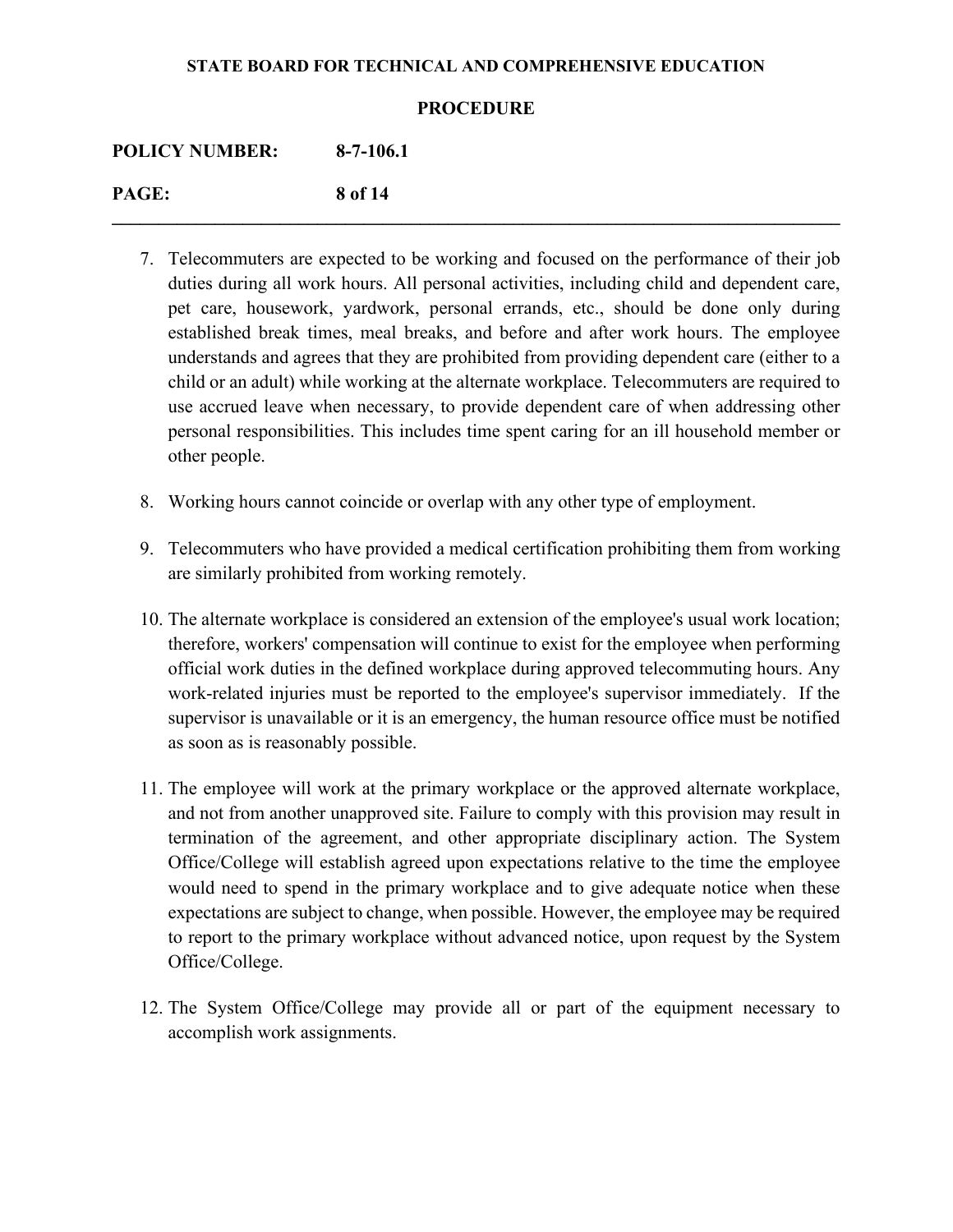### **PROCEDURE**

**\_\_\_\_\_\_\_\_\_\_\_\_\_\_\_\_\_\_\_\_\_\_\_\_\_\_\_\_\_\_\_\_\_\_\_\_\_\_\_\_\_\_\_\_\_\_\_\_\_\_\_\_\_\_\_\_\_\_\_\_\_\_\_\_\_\_\_\_\_\_\_\_\_\_\_\_\_\_**

| <b>POLICY NUMBER:</b> | $8-7-106.1$ |
|-----------------------|-------------|
| PAGE:                 | 8 of 14     |

- 7. Telecommuters are expected to be working and focused on the performance of their job duties during all work hours. All personal activities, including child and dependent care, pet care, housework, yardwork, personal errands, etc., should be done only during established break times, meal breaks, and before and after work hours. The employee understands and agrees that they are prohibited from providing dependent care (either to a child or an adult) while working at the alternate workplace. Telecommuters are required to use accrued leave when necessary, to provide dependent care of when addressing other personal responsibilities. This includes time spent caring for an ill household member or other people.
- 8. Working hours cannot coincide or overlap with any other type of employment.
- 9. Telecommuters who have provided a medical certification prohibiting them from working are similarly prohibited from working remotely.
- 10. The alternate workplace is considered an extension of the employee's usual work location; therefore, workers' compensation will continue to exist for the employee when performing official work duties in the defined workplace during approved telecommuting hours. Any work-related injuries must be reported to the employee's supervisor immediately. If the supervisor is unavailable or it is an emergency, the human resource office must be notified as soon as is reasonably possible.
- 11. The employee will work at the primary workplace or the approved alternate workplace, and not from another unapproved site. Failure to comply with this provision may result in termination of the agreement, and other appropriate disciplinary action. The System Office/College will establish agreed upon expectations relative to the time the employee would need to spend in the primary workplace and to give adequate notice when these expectations are subject to change, when possible. However, the employee may be required to report to the primary workplace without advanced notice, upon request by the System Office/College.
- 12. The System Office/College may provide all or part of the equipment necessary to accomplish work assignments.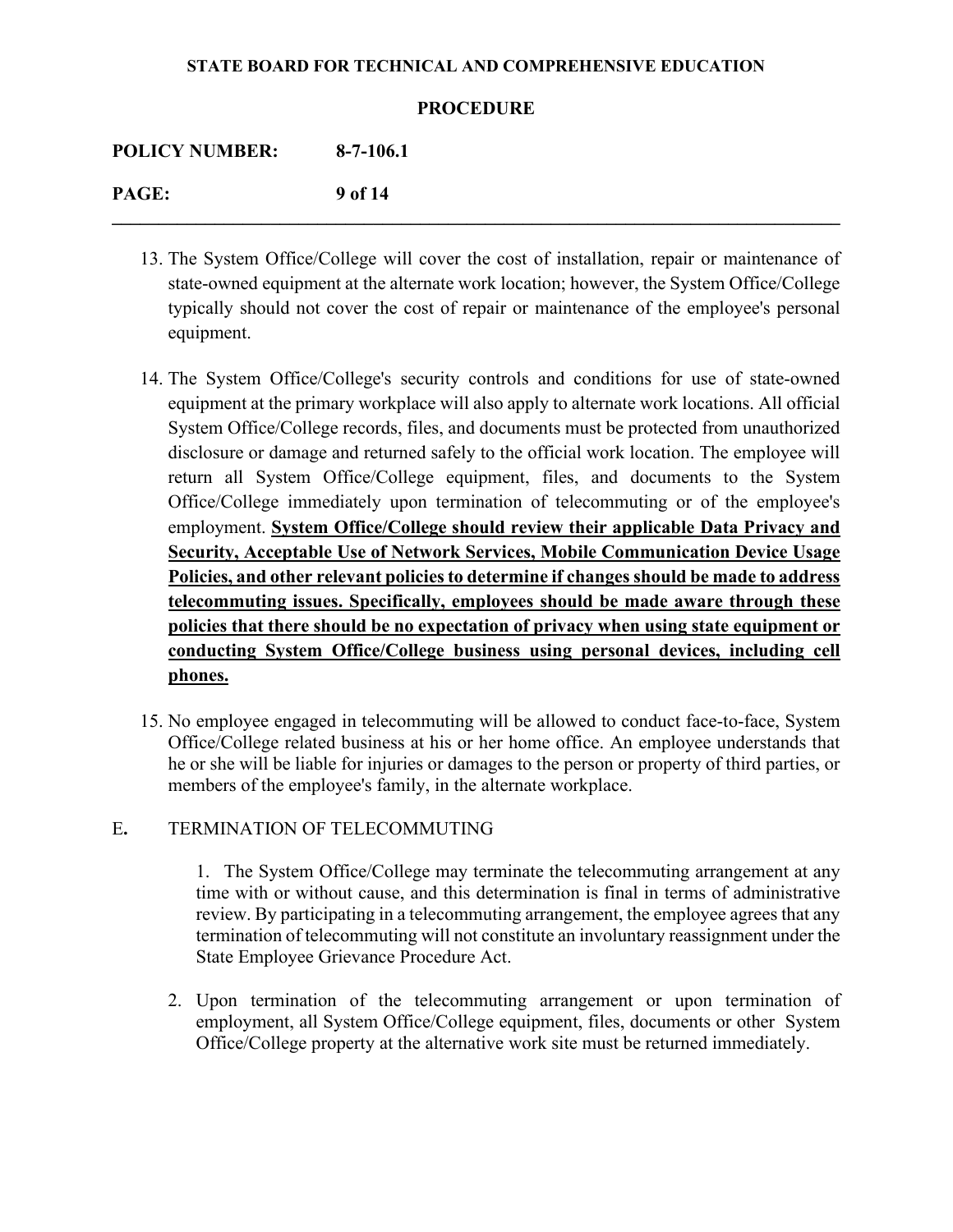### **PROCEDURE**

**\_\_\_\_\_\_\_\_\_\_\_\_\_\_\_\_\_\_\_\_\_\_\_\_\_\_\_\_\_\_\_\_\_\_\_\_\_\_\_\_\_\_\_\_\_\_\_\_\_\_\_\_\_\_\_\_\_\_\_\_\_\_\_\_\_\_\_\_\_\_\_\_\_\_\_\_\_\_** 

| <b>POLICY NUMBER:</b> | $8-7-106.1$ |
|-----------------------|-------------|
| PAGE:                 | 9 of 14     |

- 13. The System Office/College will cover the cost of installation, repair or maintenance of state-owned equipment at the alternate work location; however, the System Office/College typically should not cover the cost of repair or maintenance of the employee's personal equipment.
- 14. The System Office/College's security controls and conditions for use of state-owned equipment at the primary workplace will also apply to alternate work locations. All official System Office/College records, files, and documents must be protected from unauthorized disclosure or damage and returned safely to the official work location. The employee will return all System Office/College equipment, files, and documents to the System Office/College immediately upon termination of telecommuting or of the employee's employment. **System Office/College should review their applicable Data Privacy and Security, Acceptable Use of Network Services, Mobile Communication Device Usage Policies, and other relevant policies to determine if changes should be made to address telecommuting issues. Specifically, employees should be made aware through these policies that there should be no expectation of privacy when using state equipment or conducting System Office/College business using personal devices, including cell phones.**
- 15. No employee engaged in telecommuting will be allowed to conduct face-to-face, System Office/College related business at his or her home office. An employee understands that he or she will be liable for injuries or damages to the person or property of third parties, or members of the employee's family, in the alternate workplace.

## E**.** TERMINATION OF TELECOMMUTING

1. The System Office/College may terminate the telecommuting arrangement at any time with or without cause, and this determination is final in terms of administrative review. By participating in a telecommuting arrangement, the employee agrees that any termination of telecommuting will not constitute an involuntary reassignment under the State Employee Grievance Procedure Act.

2. Upon termination of the telecommuting arrangement or upon termination of employment, all System Office/College equipment, files, documents or other System Office/College property at the alternative work site must be returned immediately.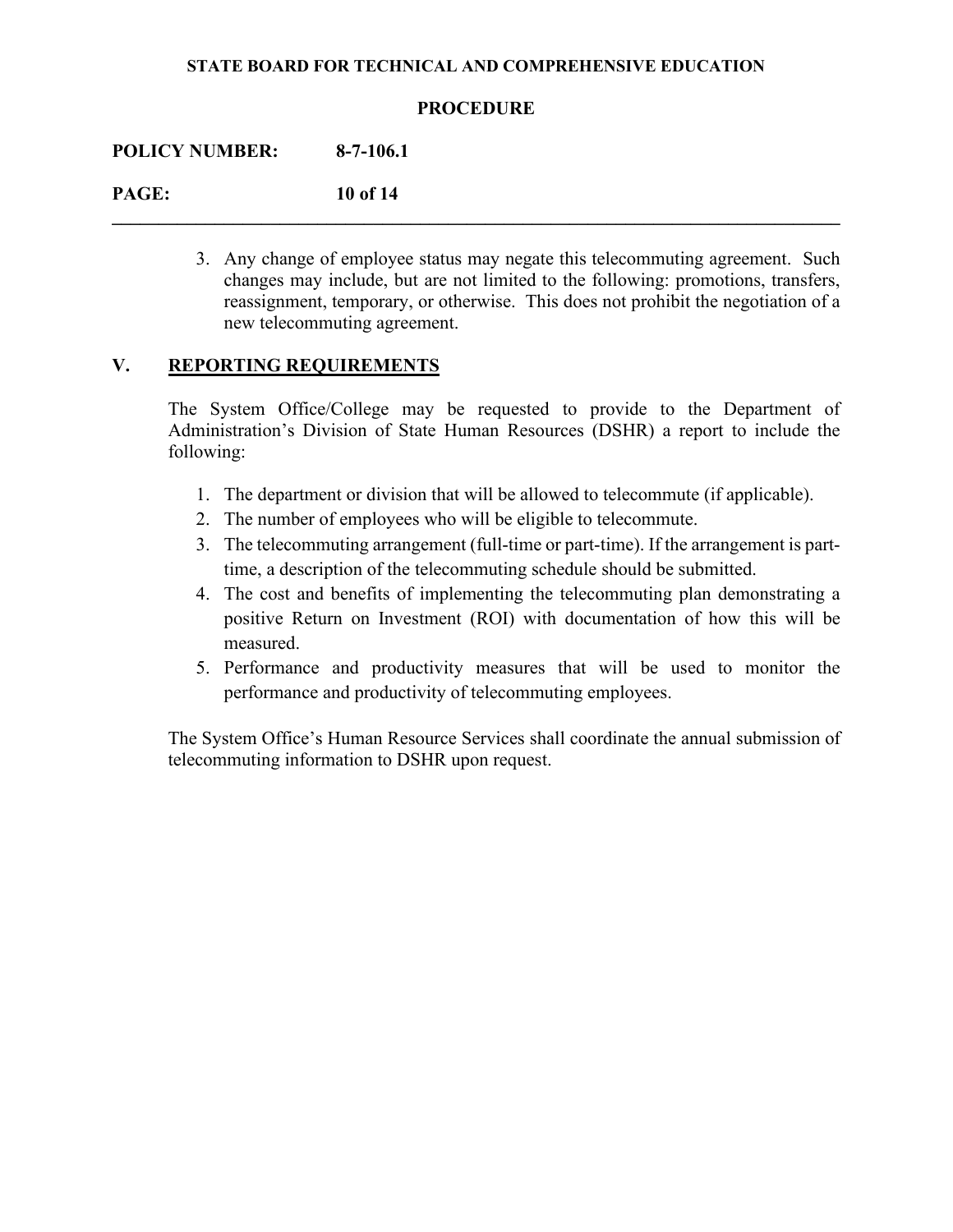## **PROCEDURE**

**\_\_\_\_\_\_\_\_\_\_\_\_\_\_\_\_\_\_\_\_\_\_\_\_\_\_\_\_\_\_\_\_\_\_\_\_\_\_\_\_\_\_\_\_\_\_\_\_\_\_\_\_\_\_\_\_\_\_\_\_\_\_\_\_\_\_\_\_\_\_\_\_\_\_\_\_\_\_** 

### **POLICY NUMBER: 8-7-106.1**

## **PAGE: 10 of 14**

3. Any change of employee status may negate this telecommuting agreement. Such changes may include, but are not limited to the following: promotions, transfers, reassignment, temporary, or otherwise. This does not prohibit the negotiation of a new telecommuting agreement.

## **V. REPORTING REQUIREMENTS**

The System Office/College may be requested to provide to the Department of Administration's Division of State Human Resources (DSHR) a report to include the following:

- 1. The department or division that will be allowed to telecommute (if applicable).
- 2. The number of employees who will be eligible to telecommute.
- 3. The telecommuting arrangement (full-time or part-time). If the arrangement is parttime, a description of the telecommuting schedule should be submitted.
- 4. The cost and benefits of implementing the telecommuting plan demonstrating a positive Return on Investment (ROI) with documentation of how this will be measured.
- 5. Performance and productivity measures that will be used to monitor the performance and productivity of telecommuting employees.

The System Office's Human Resource Services shall coordinate the annual submission of telecommuting information to DSHR upon request.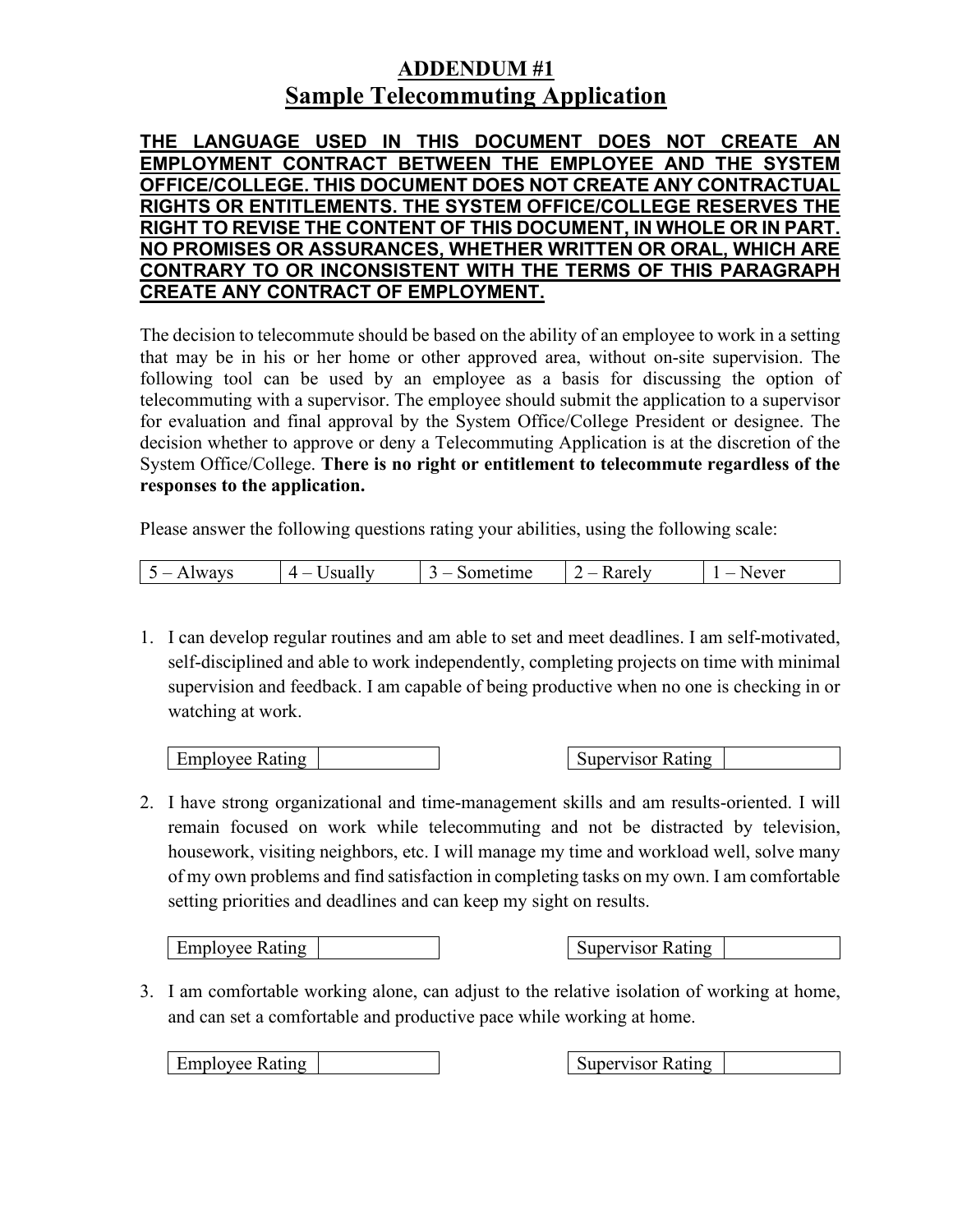# **ADDENDUM #1 Sample Telecommuting Application**

**THE LANGUAGE USED IN THIS DOCUMENT DOES NOT CREATE AN EMPLOYMENT CONTRACT BETWEEN THE EMPLOYEE AND THE SYSTEM OFFICE/COLLEGE. THIS DOCUMENT DOES NOT CREATE ANY CONTRACTUAL RIGHTS OR ENTITLEMENTS. THE SYSTEM OFFICE/COLLEGE RESERVES THE RIGHT TO REVISE THE CONTENT OF THIS DOCUMENT, IN WHOLE OR IN PART. NO PROMISES OR ASSURANCES, WHETHER WRITTEN OR ORAL, WHICH ARE CONTRARY TO OR INCONSISTENT WITH THE TERMS OF THIS PARAGRAPH CREATE ANY CONTRACT OF EMPLOYMENT.**

The decision to telecommute should be based on the ability of an employee to work in a setting that may be in his or her home or other approved area, without on-site supervision. The following tool can be used by an employee as a basis for discussing the option of telecommuting with a supervisor. The employee should submit the application to a supervisor for evaluation and final approval by the System Office/College President or designee. The decision whether to approve or deny a Telecommuting Application is at the discretion of the System Office/College. **There is no right or entitlement to telecommute regardless of the responses to the application.** 

Please answer the following questions rating your abilities, using the following scale:

1. I can develop regular routines and am able to set and meet deadlines. I am self-motivated, self-disciplined and able to work independently, completing projects on time with minimal supervision and feedback. I am capable of being productive when no one is checking in or watching at work.

Employee Rating | Supervisor Rating | Supervisor Rating

2. I have strong organizational and time-management skills and am results-oriented. I will remain focused on work while telecommuting and not be distracted by television, housework, visiting neighbors, etc. I will manage my time and workload well, solve many of my own problems and find satisfaction in completing tasks on my own. I am comfortable setting priorities and deadlines and can keep my sight on results.

Employee Rating | Supervisor Rating | Supervisor Rating

3. I am comfortable working alone, can adjust to the relative isolation of working at home, and can set a comfortable and productive pace while working at home.

Employee Rating | Supervisor Rating | Supervisor Rating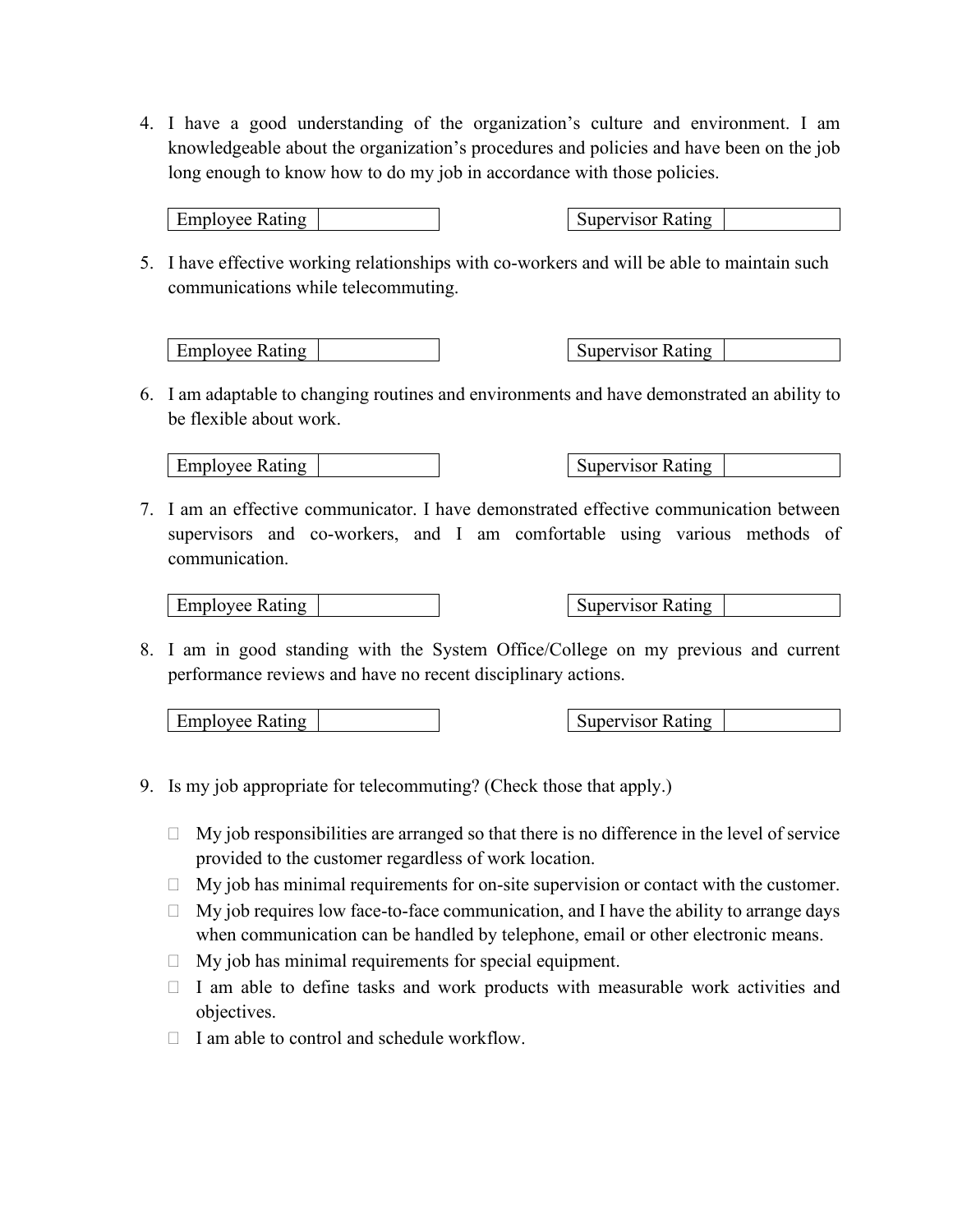4. I have a good understanding of the organization's culture and environment. I am knowledgeable about the organization's procedures and policies and have been on the job long enough to know how to do my job in accordance with those policies.

Employee Rating | Supervisor Rating

5. I have effective working relationships with co-workers and will be able to maintain such communications while telecommuting.

Employee Rating | Supervisor Rating | Supervisor Rating

6. I am adaptable to changing routines and environments and have demonstrated an ability to be flexible about work.

Employee Rating The Supervisor Rating Supervisor Rating

7. I am an effective communicator. I have demonstrated effective communication between supervisors and co-workers, and I am comfortable using various methods of communication.

Employee Rating | Supervisor Rating | Supervisor Rating

8. I am in good standing with the System Office/College on my previous and current performance reviews and have no recent disciplinary actions.

Employee Rating The Supervisor Rating Supervisor Rating

- 9. Is my job appropriate for telecommuting? (Check those that apply.)
	- $\Box$  My job responsibilities are arranged so that there is no difference in the level of service provided to the customer regardless of work location.
	- $\Box$  My job has minimal requirements for on-site supervision or contact with the customer.
	- $\Box$  My job requires low face-to-face communication, and I have the ability to arrange days when communication can be handled by telephone, email or other electronic means.
	- $\Box$  My job has minimal requirements for special equipment.
	- $\Box$  I am able to define tasks and work products with measurable work activities and objectives.
	- $\Box$  I am able to control and schedule workflow.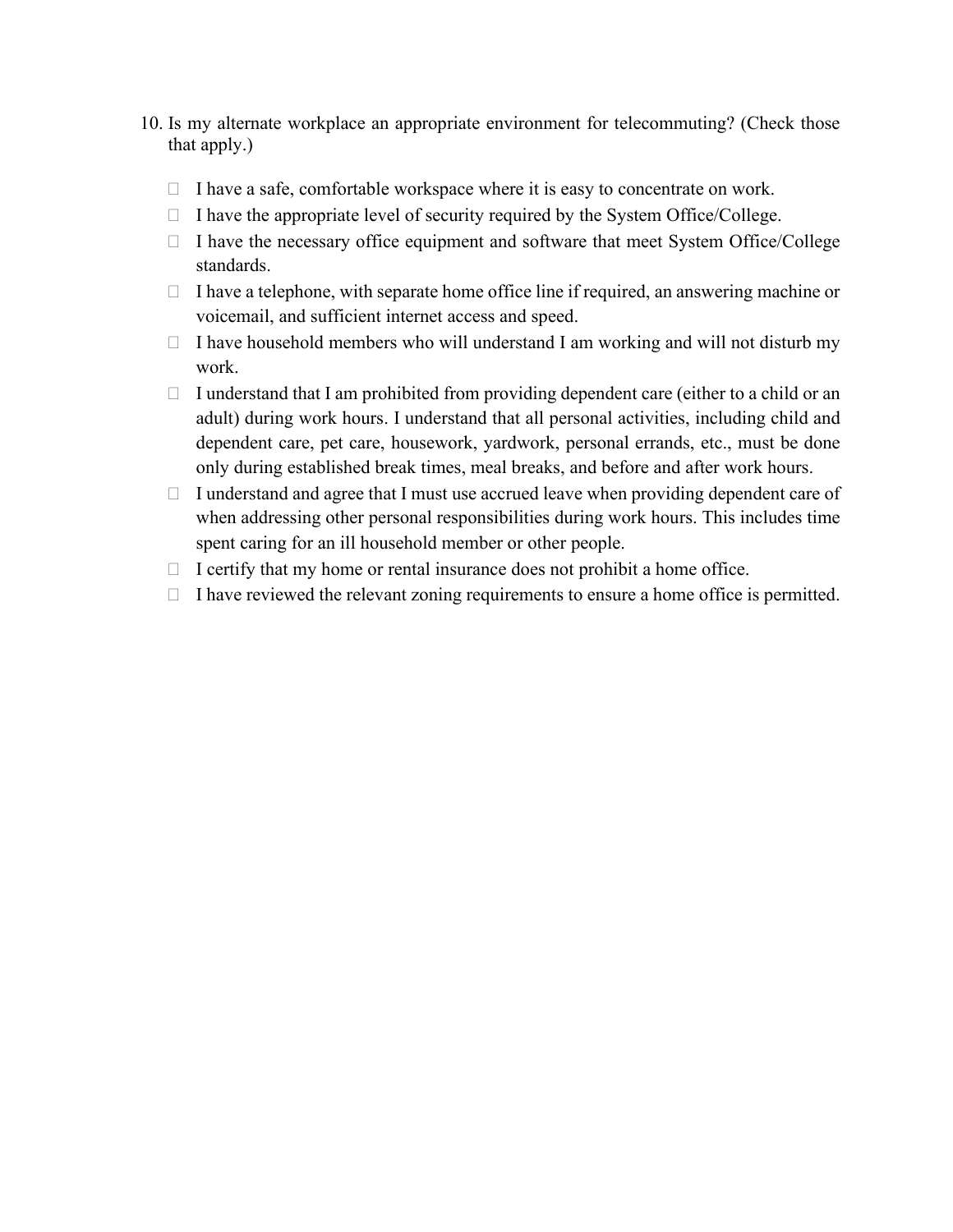- 10. Is my alternate workplace an appropriate environment for telecommuting? (Check those that apply.)
	- $\Box$  I have a safe, comfortable workspace where it is easy to concentrate on work.
	- $\Box$  I have the appropriate level of security required by the System Office/College.
	- $\Box$  I have the necessary office equipment and software that meet System Office/College standards.
	- $\Box$  I have a telephone, with separate home office line if required, an answering machine or voicemail, and sufficient internet access and speed.
	- $\Box$  I have household members who will understand I am working and will not disturb my work.
	- $\Box$  I understand that I am prohibited from providing dependent care (either to a child or an adult) during work hours. I understand that all personal activities, including child and dependent care, pet care, housework, yardwork, personal errands, etc., must be done only during established break times, meal breaks, and before and after work hours.
	- $\Box$  I understand and agree that I must use accrued leave when providing dependent care of when addressing other personal responsibilities during work hours. This includes time spent caring for an ill household member or other people.
	- $\Box$  I certify that my home or rental insurance does not prohibit a home office.
	- $\Box$  I have reviewed the relevant zoning requirements to ensure a home office is permitted.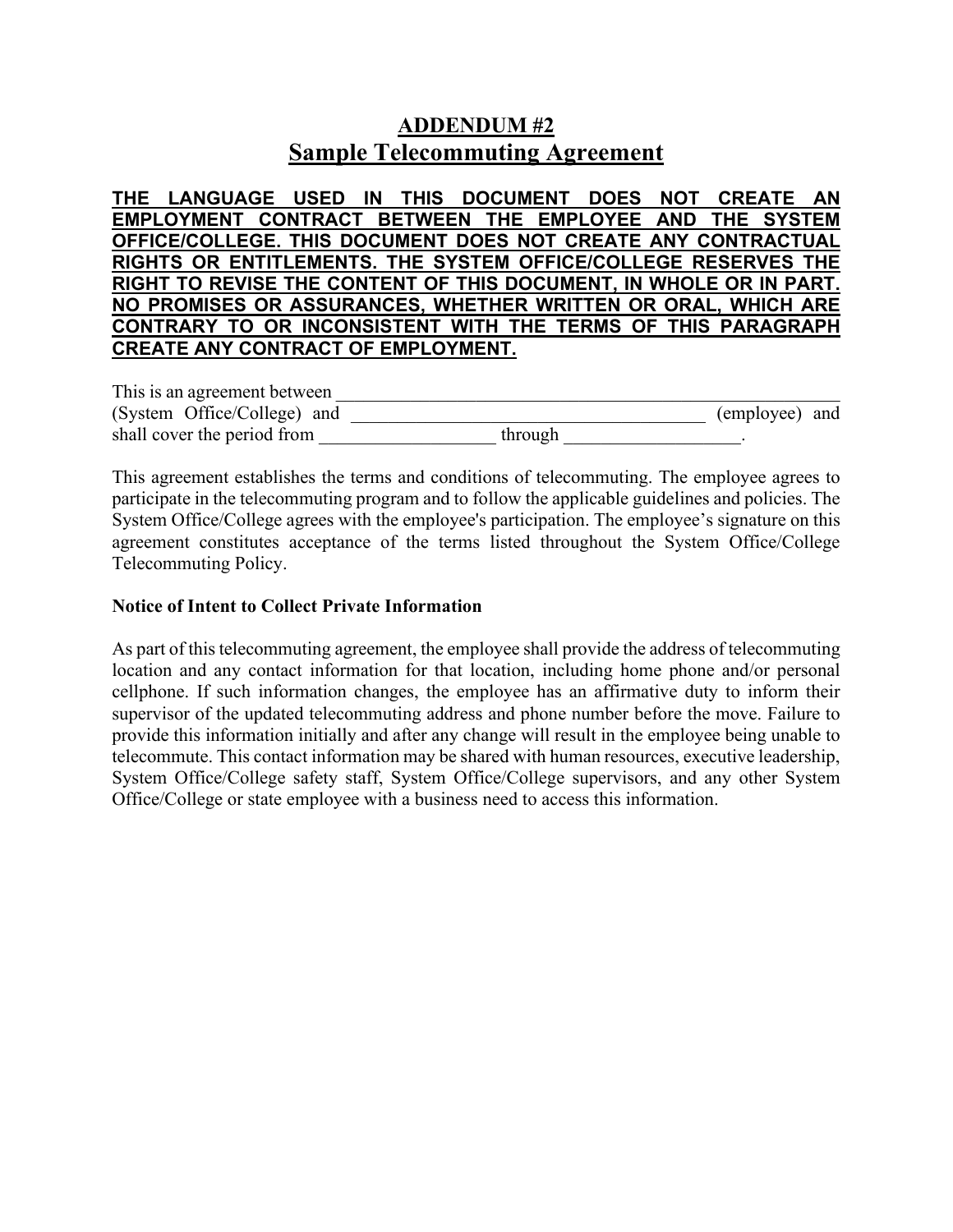# **ADDENDUM #2 Sample Telecommuting Agreement**

**THE LANGUAGE USED IN THIS DOCUMENT DOES NOT CREATE AN EMPLOYMENT CONTRACT BETWEEN THE EMPLOYEE AND THE SYSTEM OFFICE/COLLEGE. THIS DOCUMENT DOES NOT CREATE ANY CONTRACTUAL RIGHTS OR ENTITLEMENTS. THE SYSTEM OFFICE/COLLEGE RESERVES THE RIGHT TO REVISE THE CONTENT OF THIS DOCUMENT, IN WHOLE OR IN PART. NO PROMISES OR ASSURANCES, WHETHER WRITTEN OR ORAL, WHICH ARE CONTRARY TO OR INCONSISTENT WITH THE TERMS OF THIS PARAGRAPH CREATE ANY CONTRACT OF EMPLOYMENT.**

This is an agreement between (System Office/College) and \_\_\_\_\_\_\_\_\_\_\_\_\_\_\_\_\_\_\_\_\_\_\_\_\_\_\_\_\_\_\_\_\_\_\_\_\_\_ (employee) and shall cover the period from

This agreement establishes the terms and conditions of telecommuting. The employee agrees to participate in the telecommuting program and to follow the applicable guidelines and policies. The System Office/College agrees with the employee's participation. The employee's signature on this agreement constitutes acceptance of the terms listed throughout the System Office/College Telecommuting Policy.

## **Notice of Intent to Collect Private Information**

As part of this telecommuting agreement, the employee shall provide the address of telecommuting location and any contact information for that location, including home phone and/or personal cellphone. If such information changes, the employee has an affirmative duty to inform their supervisor of the updated telecommuting address and phone number before the move. Failure to provide this information initially and after any change will result in the employee being unable to telecommute. This contact information may be shared with human resources, executive leadership, System Office/College safety staff, System Office/College supervisors, and any other System Office/College or state employee with a business need to access this information.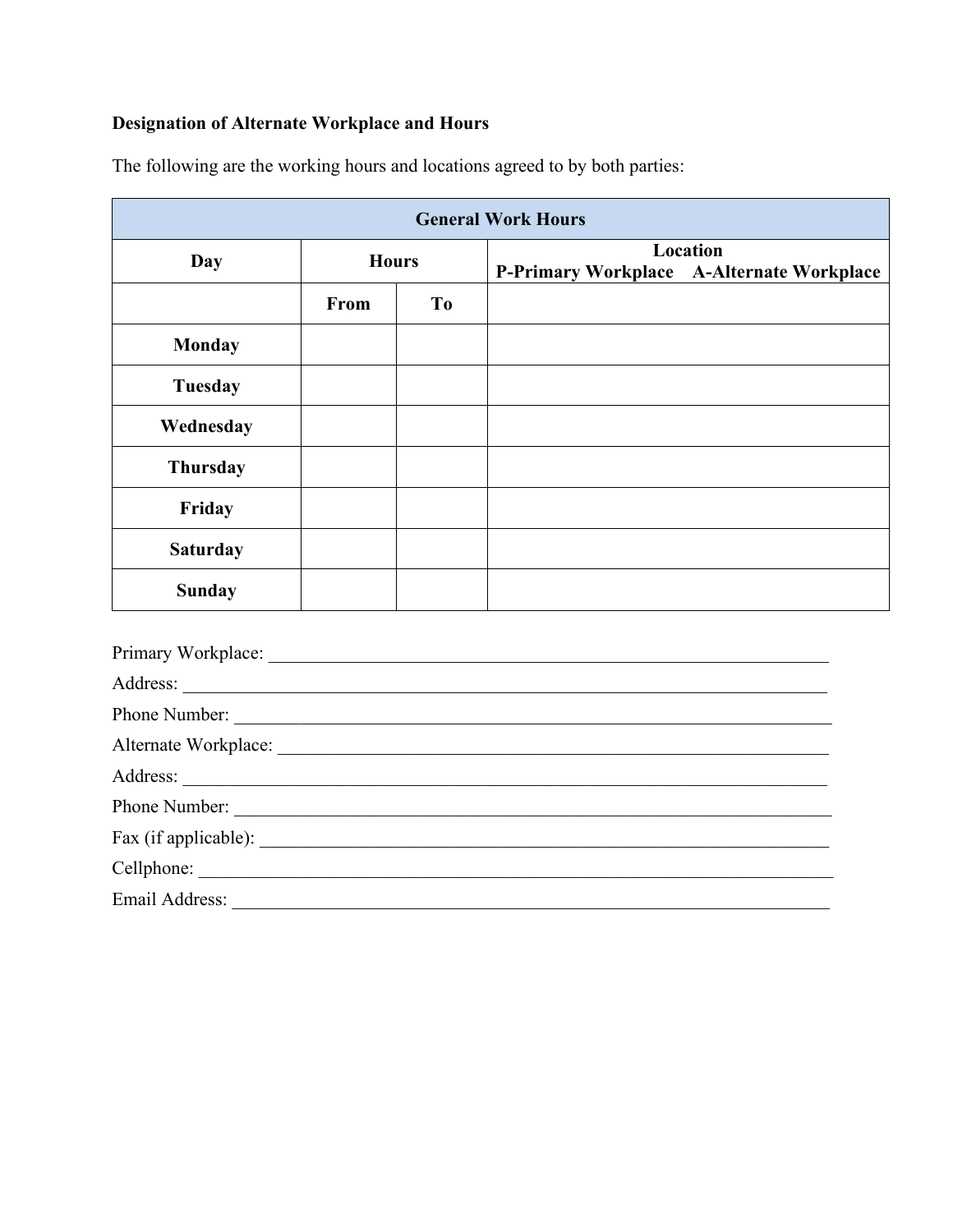# **Designation of Alternate Workplace and Hours**

| <b>General Work Hours</b> |              |                |                                                       |  |
|---------------------------|--------------|----------------|-------------------------------------------------------|--|
| Day                       | <b>Hours</b> |                | Location<br>P-Primary Workplace A-Alternate Workplace |  |
|                           | From         | T <sub>0</sub> |                                                       |  |
| <b>Monday</b>             |              |                |                                                       |  |
| Tuesday                   |              |                |                                                       |  |
| Wednesday                 |              |                |                                                       |  |
| <b>Thursday</b>           |              |                |                                                       |  |
| Friday                    |              |                |                                                       |  |
| <b>Saturday</b>           |              |                |                                                       |  |
| <b>Sunday</b>             |              |                |                                                       |  |
|                           |              |                |                                                       |  |
|                           |              |                |                                                       |  |
|                           |              |                | Phone Number:                                         |  |
|                           |              |                |                                                       |  |
| Address:                  |              |                |                                                       |  |

The following are the working hours and locations agreed to by both parties: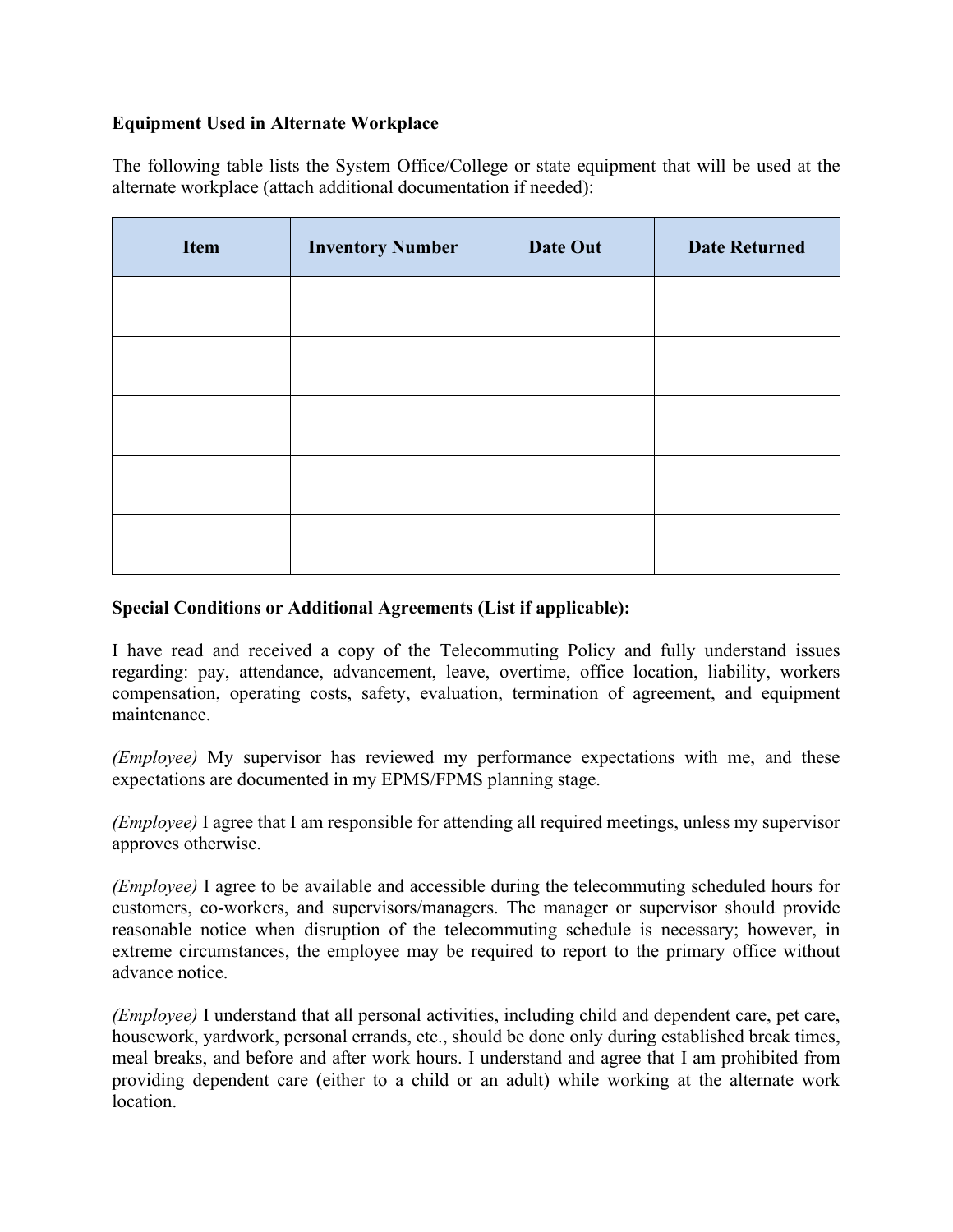# **Equipment Used in Alternate Workplace**

The following table lists the System Office/College or state equipment that will be used at the alternate workplace (attach additional documentation if needed):

| Item | <b>Inventory Number</b> | Date Out | <b>Date Returned</b> |
|------|-------------------------|----------|----------------------|
|      |                         |          |                      |
|      |                         |          |                      |
|      |                         |          |                      |
|      |                         |          |                      |
|      |                         |          |                      |

# **Special Conditions or Additional Agreements (List if applicable):**

I have read and received a copy of the Telecommuting Policy and fully understand issues regarding: pay, attendance, advancement, leave, overtime, office location, liability, workers compensation, operating costs, safety, evaluation, termination of agreement, and equipment maintenance.

*(Employee)* My supervisor has reviewed my performance expectations with me, and these expectations are documented in my EPMS/FPMS planning stage.

*(Employee)* I agree that I am responsible for attending all required meetings, unless my supervisor approves otherwise.

*(Employee)* I agree to be available and accessible during the telecommuting scheduled hours for customers, co-workers, and supervisors/managers. The manager or supervisor should provide reasonable notice when disruption of the telecommuting schedule is necessary; however, in extreme circumstances, the employee may be required to report to the primary office without advance notice.

*(Employee)* I understand that all personal activities, including child and dependent care, pet care, housework, yardwork, personal errands, etc., should be done only during established break times, meal breaks, and before and after work hours. I understand and agree that I am prohibited from providing dependent care (either to a child or an adult) while working at the alternate work location.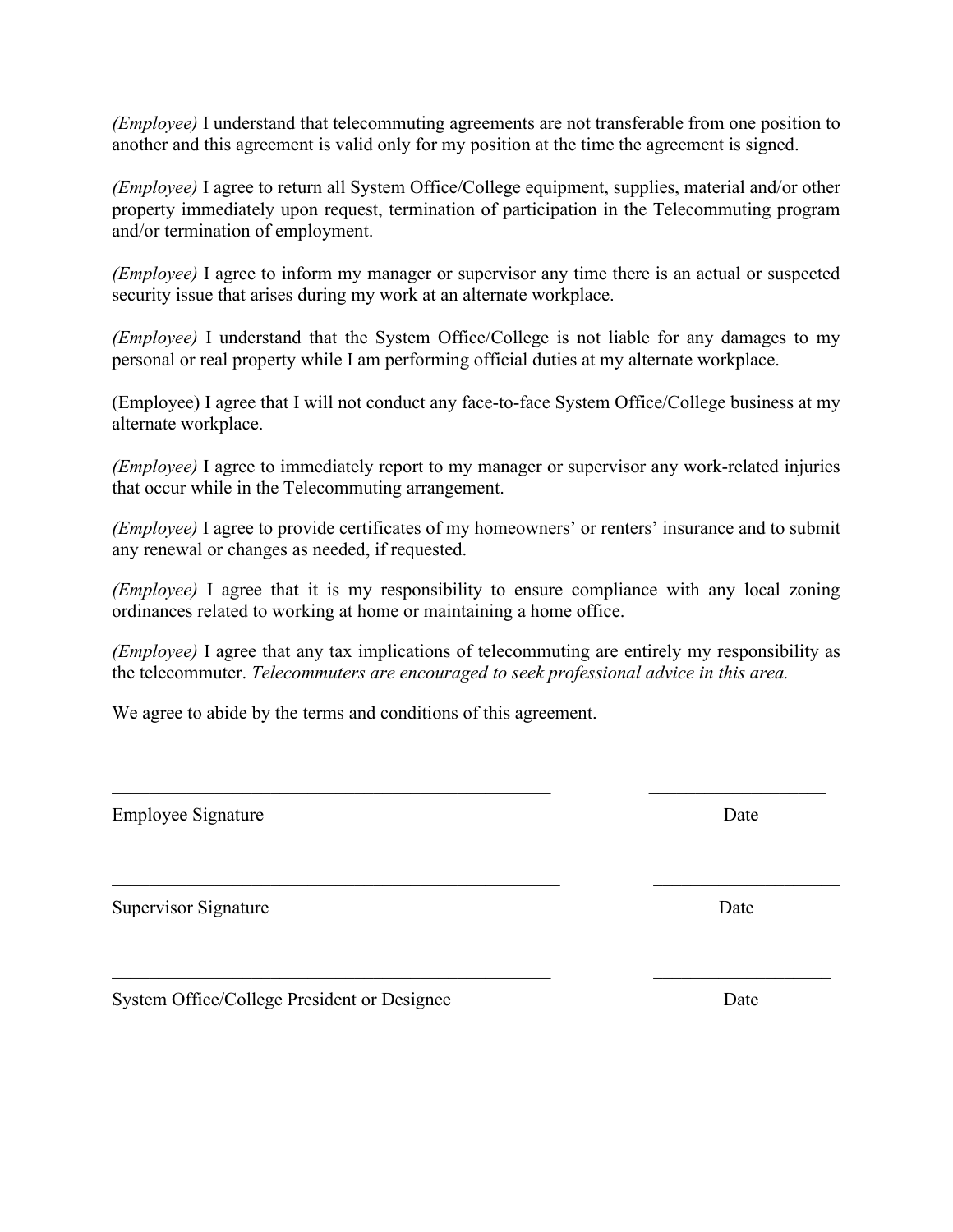*(Employee)* I understand that telecommuting agreements are not transferable from one position to another and this agreement is valid only for my position at the time the agreement is signed.

*(Employee)* I agree to return all System Office/College equipment, supplies, material and/or other property immediately upon request, termination of participation in the Telecommuting program and/or termination of employment.

*(Employee)* I agree to inform my manager or supervisor any time there is an actual or suspected security issue that arises during my work at an alternate workplace.

*(Employee)* I understand that the System Office/College is not liable for any damages to my personal or real property while I am performing official duties at my alternate workplace.

(Employee) I agree that I will not conduct any face-to-face System Office/College business at my alternate workplace.

*(Employee)* I agree to immediately report to my manager or supervisor any work-related injuries that occur while in the Telecommuting arrangement.

*(Employee)* I agree to provide certificates of my homeowners' or renters' insurance and to submit any renewal or changes as needed, if requested.

*(Employee)* I agree that it is my responsibility to ensure compliance with any local zoning ordinances related to working at home or maintaining a home office.

*(Employee)* I agree that any tax implications of telecommuting are entirely my responsibility as the telecommuter. *Telecommuters are encouraged to seek professional advice in this area.*

 $\mathcal{L}_\mathcal{L} = \mathcal{L}_\mathcal{L} = \mathcal{L}_\mathcal{L} = \mathcal{L}_\mathcal{L} = \mathcal{L}_\mathcal{L} = \mathcal{L}_\mathcal{L} = \mathcal{L}_\mathcal{L} = \mathcal{L}_\mathcal{L} = \mathcal{L}_\mathcal{L} = \mathcal{L}_\mathcal{L} = \mathcal{L}_\mathcal{L} = \mathcal{L}_\mathcal{L} = \mathcal{L}_\mathcal{L} = \mathcal{L}_\mathcal{L} = \mathcal{L}_\mathcal{L} = \mathcal{L}_\mathcal{L} = \mathcal{L}_\mathcal{L}$ 

 $\mathcal{L}_\text{max}$  , and the contribution of the contribution of the contribution of the contribution of the contribution of the contribution of the contribution of the contribution of the contribution of the contribution of t

We agree to abide by the terms and conditions of this agreement.

Employee Signature Date

Supervisor Signature Date

System Office/College President or Designee Date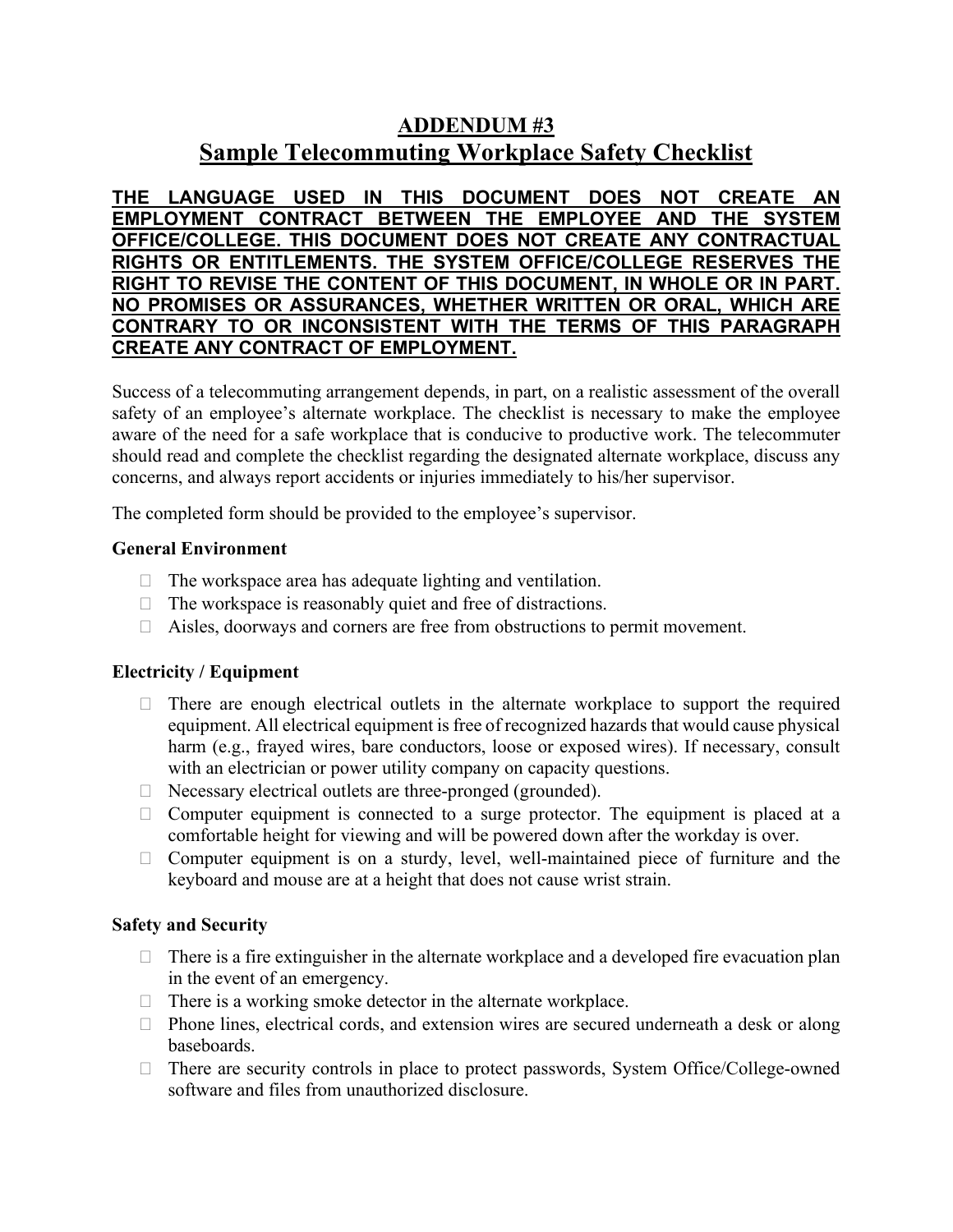# **ADDENDUM #3 Sample Telecommuting Workplace Safety Checklist**

**THE LANGUAGE USED IN THIS DOCUMENT DOES NOT CREATE AN EMPLOYMENT CONTRACT BETWEEN THE EMPLOYEE AND THE SYSTEM OFFICE/COLLEGE. THIS DOCUMENT DOES NOT CREATE ANY CONTRACTUAL RIGHTS OR ENTITLEMENTS. THE SYSTEM OFFICE/COLLEGE RESERVES THE RIGHT TO REVISE THE CONTENT OF THIS DOCUMENT, IN WHOLE OR IN PART. NO PROMISES OR ASSURANCES, WHETHER WRITTEN OR ORAL, WHICH ARE CONTRARY TO OR INCONSISTENT WITH THE TERMS OF THIS PARAGRAPH CREATE ANY CONTRACT OF EMPLOYMENT.**

Success of a telecommuting arrangement depends, in part, on a realistic assessment of the overall safety of an employee's alternate workplace. The checklist is necessary to make the employee aware of the need for a safe workplace that is conducive to productive work. The telecommuter should read and complete the checklist regarding the designated alternate workplace, discuss any concerns, and always report accidents or injuries immediately to his/her supervisor.

The completed form should be provided to the employee's supervisor.

# **General Environment**

- $\Box$  The workspace area has adequate lighting and ventilation.
- $\Box$  The workspace is reasonably quiet and free of distractions.
- Aisles, doorways and corners are free from obstructions to permit movement.

# **Electricity / Equipment**

- $\Box$  There are enough electrical outlets in the alternate workplace to support the required equipment. All electrical equipment is free of recognized hazards that would cause physical harm (e.g., frayed wires, bare conductors, loose or exposed wires). If necessary, consult with an electrician or power utility company on capacity questions.
- $\Box$  Necessary electrical outlets are three-pronged (grounded).
- $\Box$  Computer equipment is connected to a surge protector. The equipment is placed at a comfortable height for viewing and will be powered down after the workday is over.
- $\Box$  Computer equipment is on a sturdy, level, well-maintained piece of furniture and the keyboard and mouse are at a height that does not cause wrist strain.

# **Safety and Security**

- $\Box$  There is a fire extinguisher in the alternate workplace and a developed fire evacuation plan in the event of an emergency.
- $\Box$  There is a working smoke detector in the alternate workplace.
- $\Box$  Phone lines, electrical cords, and extension wires are secured underneath a desk or along baseboards.
- □ There are security controls in place to protect passwords, System Office/College-owned software and files from unauthorized disclosure.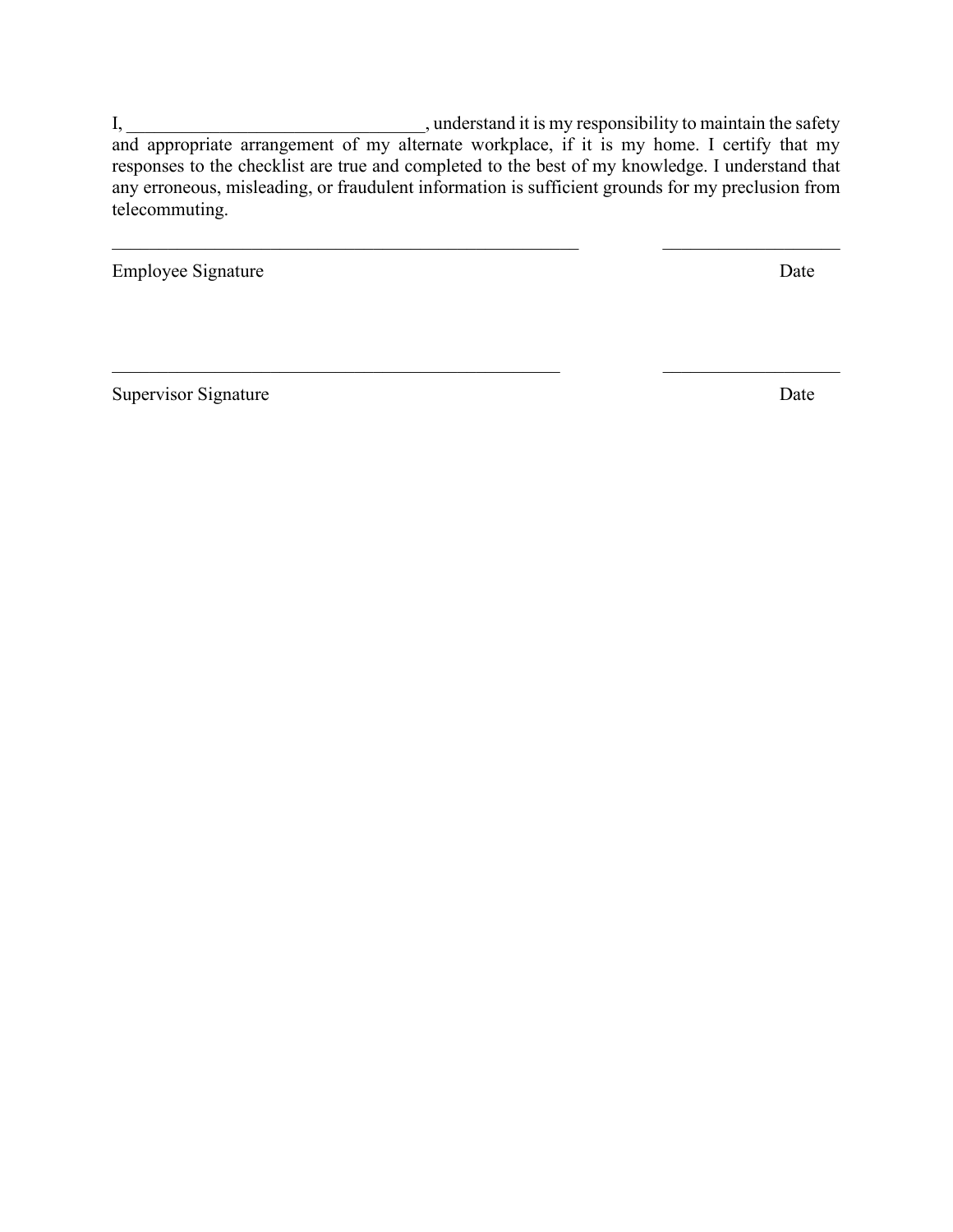I, \_\_\_\_\_\_\_\_\_\_\_\_\_\_\_\_\_\_\_\_\_\_\_\_\_\_\_\_\_\_\_\_, understand it is my responsibility to maintain the safety and appropriate arrangement of my alternate workplace, if it is my home. I certify that my responses to the checklist are true and completed to the best of my knowledge. I understand that any erroneous, misleading, or fraudulent information is sufficient grounds for my preclusion from telecommuting.

 $\_$ 

 $\mathcal{L}_\text{max}$  , and the contribution of the contribution of the contribution of the contribution of the contribution of the contribution of the contribution of the contribution of the contribution of the contribution of t

Employee Signature Date

Supervisor Signature Date